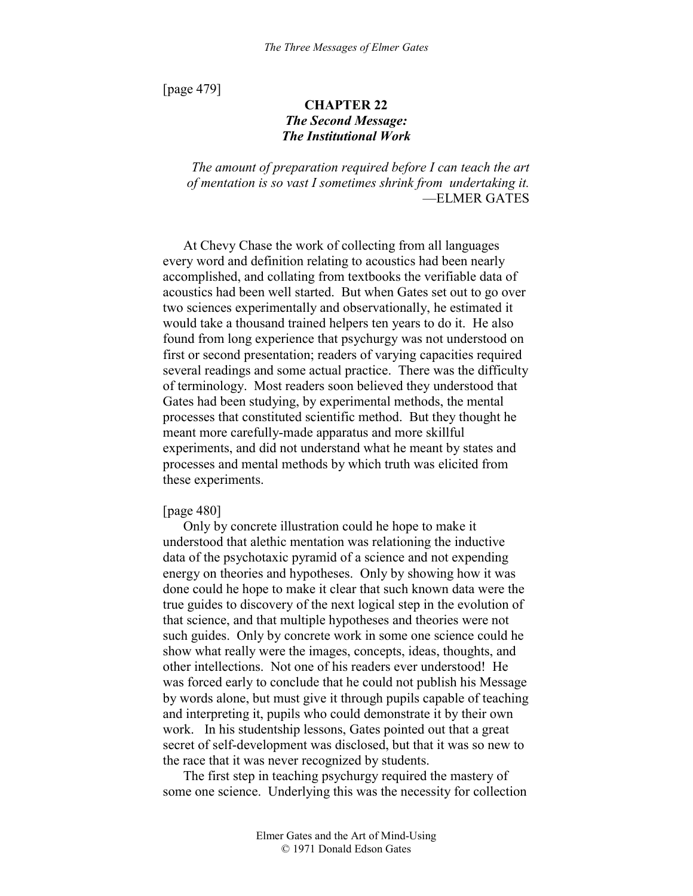[page 479]

# **CHAPTER 22**  *The Second Message: The Institutional Work*

*The amount of preparation required before I can teach the art of mentation is so vast I sometimes shrink from undertaking it.* —ELMER GATES

At Chevy Chase the work of collecting from all languages every word and definition relating to acoustics had been nearly accomplished, and collating from textbooks the verifiable data of acoustics had been well started. But when Gates set out to go over two sciences experimentally and observationally, he estimated it would take a thousand trained helpers ten years to do it. He also found from long experience that psychurgy was not understood on first or second presentation; readers of varying capacities required several readings and some actual practice. There was the difficulty of terminology. Most readers soon believed they understood that Gates had been studying, by experimental methods, the mental processes that constituted scientific method. But they thought he meant more carefully-made apparatus and more skillful experiments, and did not understand what he meant by states and processes and mental methods by which truth was elicited from these experiments.

### [page 480]

Only by concrete illustration could he hope to make it understood that alethic mentation was relationing the inductive data of the psychotaxic pyramid of a science and not expending energy on theories and hypotheses. Only by showing how it was done could he hope to make it clear that such known data were the true guides to discovery of the next logical step in the evolution of that science, and that multiple hypotheses and theories were not such guides. Only by concrete work in some one science could he show what really were the images, concepts, ideas, thoughts, and other intellections. Not one of his readers ever understood! He was forced early to conclude that he could not publish his Message by words alone, but must give it through pupils capable of teaching and interpreting it, pupils who could demonstrate it by their own work. In his studentship lessons, Gates pointed out that a great secret of self-development was disclosed, but that it was so new to the race that it was never recognized by students.

The first step in teaching psychurgy required the mastery of some one science. Underlying this was the necessity for collection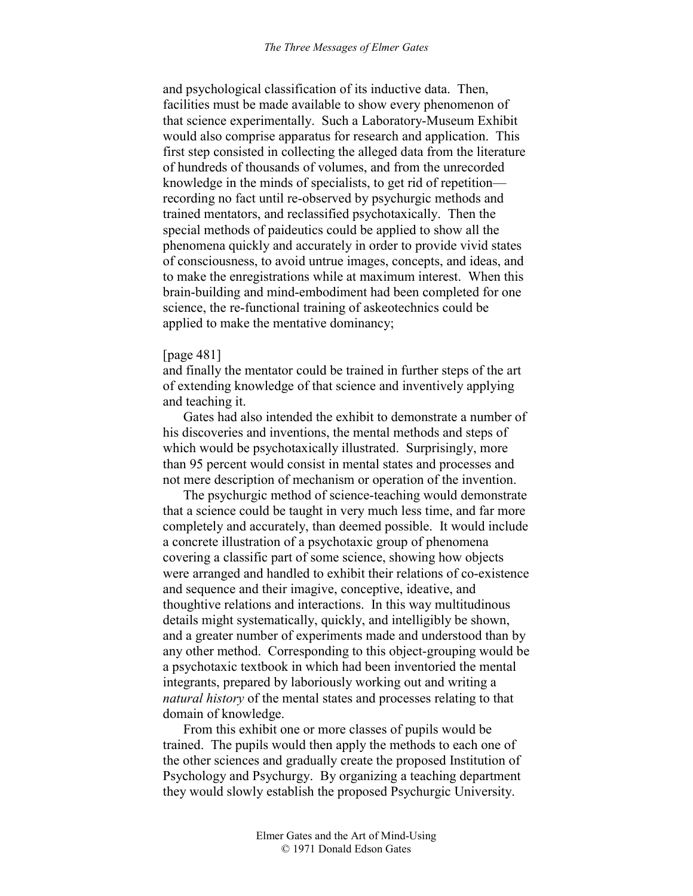and psychological classification of its inductive data. Then, facilities must be made available to show every phenomenon of that science experimentally. Such a Laboratory-Museum Exhibit would also comprise apparatus for research and application. This first step consisted in collecting the alleged data from the literature of hundreds of thousands of volumes, and from the unrecorded knowledge in the minds of specialists, to get rid of repetition recording no fact until re-observed by psychurgic methods and trained mentators, and reclassified psychotaxically. Then the special methods of paideutics could be applied to show all the phenomena quickly and accurately in order to provide vivid states of consciousness, to avoid untrue images, concepts, and ideas, and to make the enregistrations while at maximum interest. When this brain-building and mind-embodiment had been completed for one science, the re-functional training of askeotechnics could be applied to make the mentative dominancy;

# [page 481]

and finally the mentator could be trained in further steps of the art of extending knowledge of that science and inventively applying and teaching it.

Gates had also intended the exhibit to demonstrate a number of his discoveries and inventions, the mental methods and steps of which would be psychotaxically illustrated. Surprisingly, more than 95 percent would consist in mental states and processes and not mere description of mechanism or operation of the invention.

The psychurgic method of science-teaching would demonstrate that a science could be taught in very much less time, and far more completely and accurately, than deemed possible. It would include a concrete illustration of a psychotaxic group of phenomena covering a classific part of some science, showing how objects were arranged and handled to exhibit their relations of co-existence and sequence and their imagive, conceptive, ideative, and thoughtive relations and interactions. In this way multitudinous details might systematically, quickly, and intelligibly be shown, and a greater number of experiments made and understood than by any other method. Corresponding to this object-grouping would be a psychotaxic textbook in which had been inventoried the mental integrants, prepared by laboriously working out and writing a *natural history* of the mental states and processes relating to that domain of knowledge.

From this exhibit one or more classes of pupils would be trained. The pupils would then apply the methods to each one of the other sciences and gradually create the proposed Institution of Psychology and Psychurgy. By organizing a teaching department they would slowly establish the proposed Psychurgic University.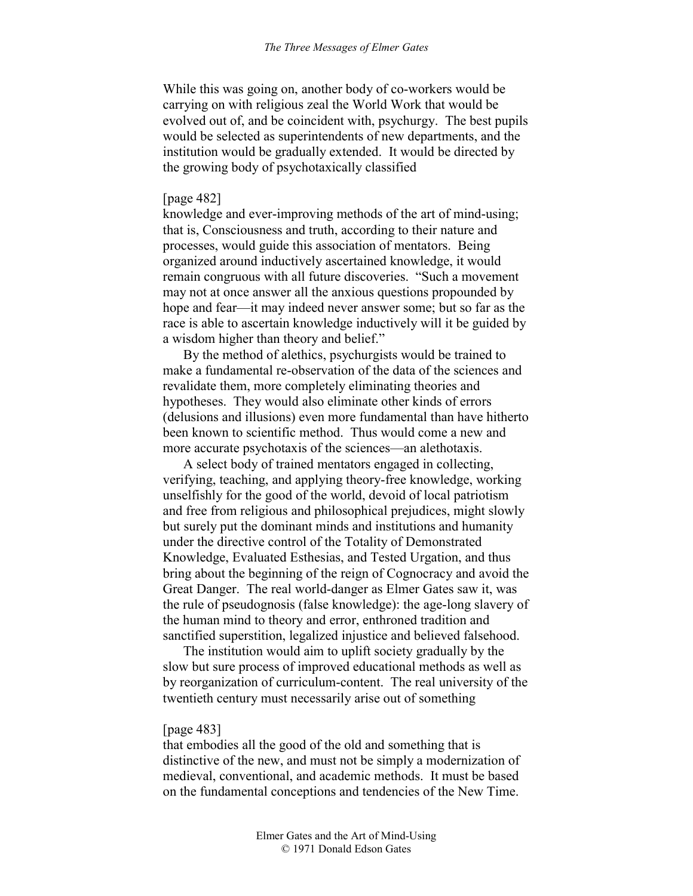While this was going on, another body of co-workers would be carrying on with religious zeal the World Work that would be evolved out of, and be coincident with, psychurgy. The best pupils would be selected as superintendents of new departments, and the institution would be gradually extended. It would be directed by the growing body of psychotaxically classified

# [page 482]

knowledge and ever-improving methods of the art of mind-using; that is, Consciousness and truth, according to their nature and processes, would guide this association of mentators. Being organized around inductively ascertained knowledge, it would remain congruous with all future discoveries. "Such a movement may not at once answer all the anxious questions propounded by hope and fear—it may indeed never answer some; but so far as the race is able to ascertain knowledge inductively will it be guided by a wisdom higher than theory and belief."

By the method of alethics, psychurgists would be trained to make a fundamental re-observation of the data of the sciences and revalidate them, more completely eliminating theories and hypotheses. They would also eliminate other kinds of errors (delusions and illusions) even more fundamental than have hitherto been known to scientific method. Thus would come a new and more accurate psychotaxis of the sciences—an alethotaxis.

A select body of trained mentators engaged in collecting, verifying, teaching, and applying theory-free knowledge, working unselfishly for the good of the world, devoid of local patriotism and free from religious and philosophical prejudices, might slowly but surely put the dominant minds and institutions and humanity under the directive control of the Totality of Demonstrated Knowledge, Evaluated Esthesias, and Tested Urgation, and thus bring about the beginning of the reign of Cognocracy and avoid the Great Danger. The real world-danger as Elmer Gates saw it, was the rule of pseudognosis (false knowledge): the age-long slavery of the human mind to theory and error, enthroned tradition and sanctified superstition, legalized injustice and believed falsehood.

The institution would aim to uplift society gradually by the slow but sure process of improved educational methods as well as by reorganization of curriculum-content. The real university of the twentieth century must necessarily arise out of something

#### [page 483]

that embodies all the good of the old and something that is distinctive of the new, and must not be simply a modernization of medieval, conventional, and academic methods. It must be based on the fundamental conceptions and tendencies of the New Time.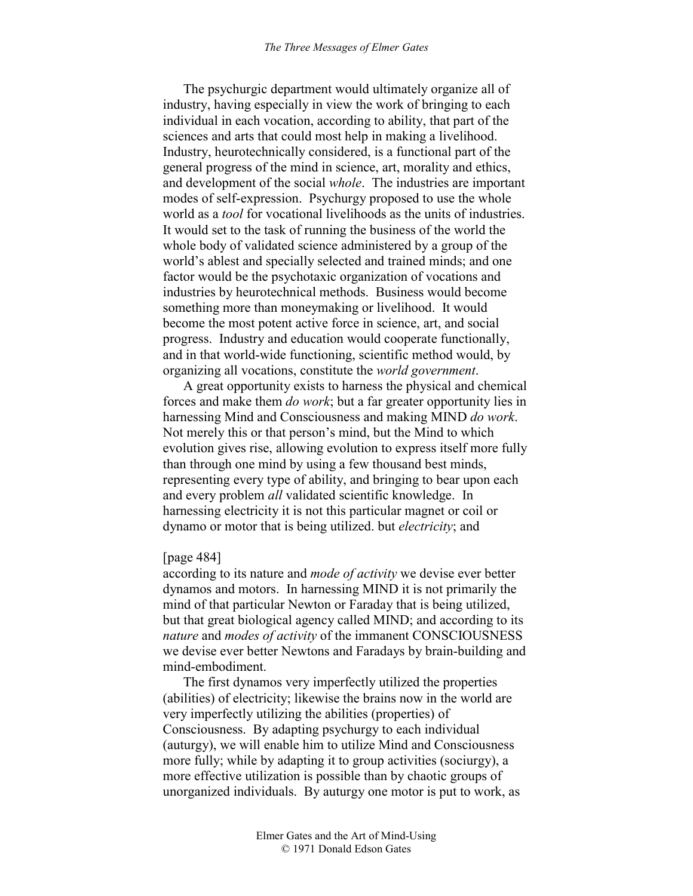The psychurgic department would ultimately organize all of industry, having especially in view the work of bringing to each individual in each vocation, according to ability, that part of the sciences and arts that could most help in making a livelihood. Industry, heurotechnically considered, is a functional part of the general progress of the mind in science, art, morality and ethics, and development of the social *whole*. The industries are important modes of self-expression. Psychurgy proposed to use the whole world as a *tool* for vocational livelihoods as the units of industries. It would set to the task of running the business of the world the whole body of validated science administered by a group of the world's ablest and specially selected and trained minds; and one factor would be the psychotaxic organization of vocations and industries by heurotechnical methods. Business would become something more than moneymaking or livelihood. It would become the most potent active force in science, art, and social progress. Industry and education would cooperate functionally, and in that world-wide functioning, scientific method would, by organizing all vocations, constitute the *world government*.

A great opportunity exists to harness the physical and chemical forces and make them *do work*; but a far greater opportunity lies in harnessing Mind and Consciousness and making MIND *do work*. Not merely this or that person's mind, but the Mind to which evolution gives rise, allowing evolution to express itself more fully than through one mind by using a few thousand best minds, representing every type of ability, and bringing to bear upon each and every problem *all* validated scientific knowledge. In harnessing electricity it is not this particular magnet or coil or dynamo or motor that is being utilized. but *electricity*; and

# [page 484]

according to its nature and *mode of activity* we devise ever better dynamos and motors. In harnessing MIND it is not primarily the mind of that particular Newton or Faraday that is being utilized, but that great biological agency called MIND; and according to its *nature* and *modes of activity* of the immanent CONSCIOUSNESS we devise ever better Newtons and Faradays by brain-building and mind-embodiment.

The first dynamos very imperfectly utilized the properties (abilities) of electricity; likewise the brains now in the world are very imperfectly utilizing the abilities (properties) of Consciousness. By adapting psychurgy to each individual (auturgy), we will enable him to utilize Mind and Consciousness more fully; while by adapting it to group activities (sociurgy), a more effective utilization is possible than by chaotic groups of unorganized individuals. By auturgy one motor is put to work, as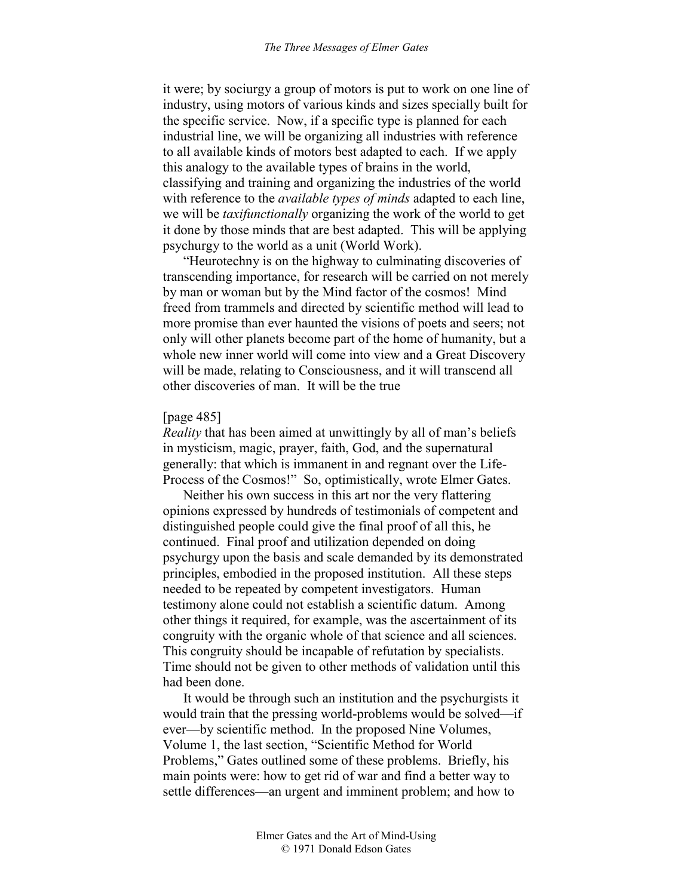it were; by sociurgy a group of motors is put to work on one line of industry, using motors of various kinds and sizes specially built for the specific service. Now, if a specific type is planned for each industrial line, we will be organizing all industries with reference to all available kinds of motors best adapted to each. If we apply this analogy to the available types of brains in the world, classifying and training and organizing the industries of the world with reference to the *available types of minds* adapted to each line, we will be *taxifunctionally* organizing the work of the world to get it done by those minds that are best adapted. This will be applying psychurgy to the world as a unit (World Work).

"Heurotechny is on the highway to culminating discoveries of transcending importance, for research will be carried on not merely by man or woman but by the Mind factor of the cosmos! Mind freed from trammels and directed by scientific method will lead to more promise than ever haunted the visions of poets and seers; not only will other planets become part of the home of humanity, but a whole new inner world will come into view and a Great Discovery will be made, relating to Consciousness, and it will transcend all other discoveries of man. It will be the true

#### [page 485]

*Reality* that has been aimed at unwittingly by all of man's beliefs in mysticism, magic, prayer, faith, God, and the supernatural generally: that which is immanent in and regnant over the Life-Process of the Cosmos!" So, optimistically, wrote Elmer Gates.

Neither his own success in this art nor the very flattering opinions expressed by hundreds of testimonials of competent and distinguished people could give the final proof of all this, he continued. Final proof and utilization depended on doing psychurgy upon the basis and scale demanded by its demonstrated principles, embodied in the proposed institution. All these steps needed to be repeated by competent investigators. Human testimony alone could not establish a scientific datum. Among other things it required, for example, was the ascertainment of its congruity with the organic whole of that science and all sciences. This congruity should be incapable of refutation by specialists. Time should not be given to other methods of validation until this had been done.

It would be through such an institution and the psychurgists it would train that the pressing world-problems would be solved—if ever—by scientific method. In the proposed Nine Volumes, Volume 1, the last section, "Scientific Method for World Problems," Gates outlined some of these problems. Briefly, his main points were: how to get rid of war and find a better way to settle differences—an urgent and imminent problem; and how to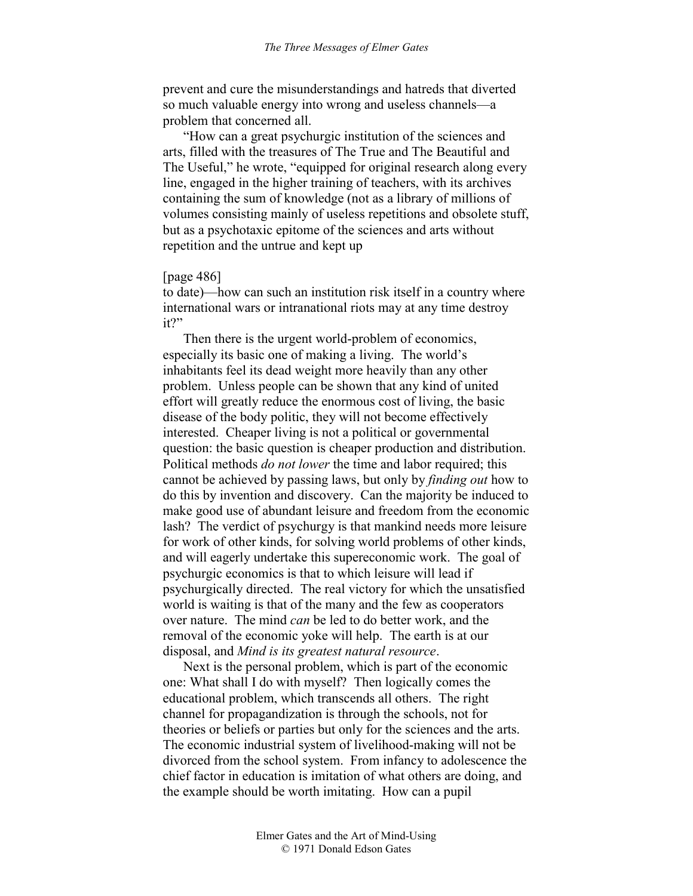prevent and cure the misunderstandings and hatreds that diverted so much valuable energy into wrong and useless channels—a problem that concerned all.

"How can a great psychurgic institution of the sciences and arts, filled with the treasures of The True and The Beautiful and The Useful," he wrote, "equipped for original research along every line, engaged in the higher training of teachers, with its archives containing the sum of knowledge (not as a library of millions of volumes consisting mainly of useless repetitions and obsolete stuff, but as a psychotaxic epitome of the sciences and arts without repetition and the untrue and kept up

# [page 486]

to date)—how can such an institution risk itself in a country where international wars or intranational riots may at any time destroy it?"

Then there is the urgent world-problem of economics, especially its basic one of making a living. The world's inhabitants feel its dead weight more heavily than any other problem. Unless people can be shown that any kind of united effort will greatly reduce the enormous cost of living, the basic disease of the body politic, they will not become effectively interested. Cheaper living is not a political or governmental question: the basic question is cheaper production and distribution. Political methods *do not lower* the time and labor required; this cannot be achieved by passing laws, but only by *finding out* how to do this by invention and discovery. Can the majority be induced to make good use of abundant leisure and freedom from the economic lash? The verdict of psychurgy is that mankind needs more leisure for work of other kinds, for solving world problems of other kinds, and will eagerly undertake this supereconomic work. The goal of psychurgic economics is that to which leisure will lead if psychurgically directed. The real victory for which the unsatisfied world is waiting is that of the many and the few as cooperators over nature. The mind *can* be led to do better work, and the removal of the economic yoke will help. The earth is at our disposal, and *Mind is its greatest natural resource*.

Next is the personal problem, which is part of the economic one: What shall I do with myself? Then logically comes the educational problem, which transcends all others. The right channel for propagandization is through the schools, not for theories or beliefs or parties but only for the sciences and the arts. The economic industrial system of livelihood-making will not be divorced from the school system. From infancy to adolescence the chief factor in education is imitation of what others are doing, and the example should be worth imitating. How can a pupil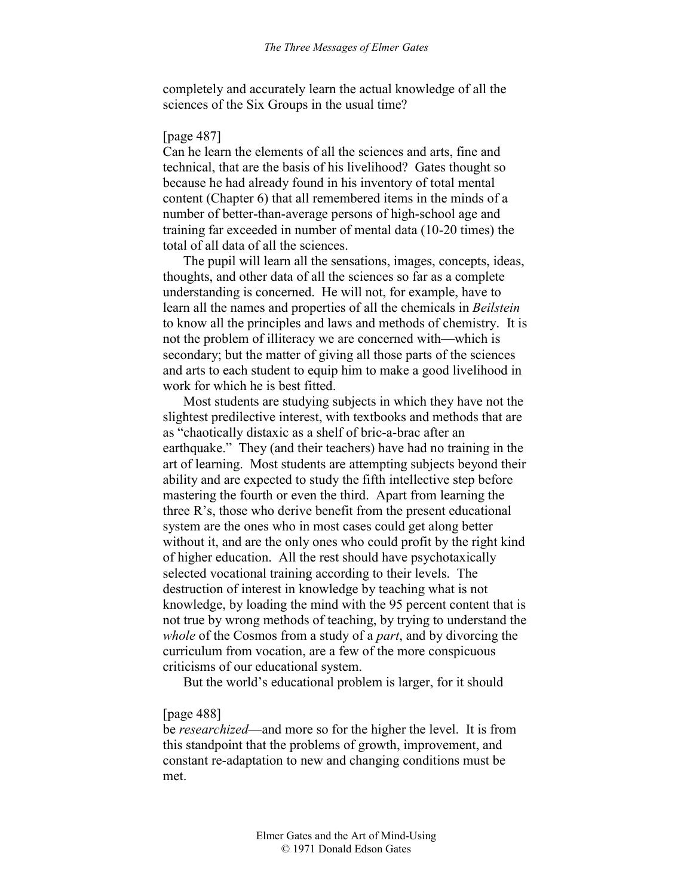completely and accurately learn the actual knowledge of all the sciences of the Six Groups in the usual time?

### [page 487]

Can he learn the elements of all the sciences and arts, fine and technical, that are the basis of his livelihood? Gates thought so because he had already found in his inventory of total mental content (Chapter 6) that all remembered items in the minds of a number of better-than-average persons of high-school age and training far exceeded in number of mental data (10-20 times) the total of all data of all the sciences.

The pupil will learn all the sensations, images, concepts, ideas, thoughts, and other data of all the sciences so far as a complete understanding is concerned. He will not, for example, have to learn all the names and properties of all the chemicals in *Beilstein* to know all the principles and laws and methods of chemistry. It is not the problem of illiteracy we are concerned with—which is secondary; but the matter of giving all those parts of the sciences and arts to each student to equip him to make a good livelihood in work for which he is best fitted.

Most students are studying subjects in which they have not the slightest predilective interest, with textbooks and methods that are as "chaotically distaxic as a shelf of bric-a-brac after an earthquake." They (and their teachers) have had no training in the art of learning. Most students are attempting subjects beyond their ability and are expected to study the fifth intellective step before mastering the fourth or even the third. Apart from learning the three R's, those who derive benefit from the present educational system are the ones who in most cases could get along better without it, and are the only ones who could profit by the right kind of higher education. All the rest should have psychotaxically selected vocational training according to their levels. The destruction of interest in knowledge by teaching what is not knowledge, by loading the mind with the 95 percent content that is not true by wrong methods of teaching, by trying to understand the *whole* of the Cosmos from a study of a *part*, and by divorcing the curriculum from vocation, are a few of the more conspicuous criticisms of our educational system.

But the world's educational problem is larger, for it should

#### [page 488]

be *researchized*—and more so for the higher the level. It is from this standpoint that the problems of growth, improvement, and constant re-adaptation to new and changing conditions must be met.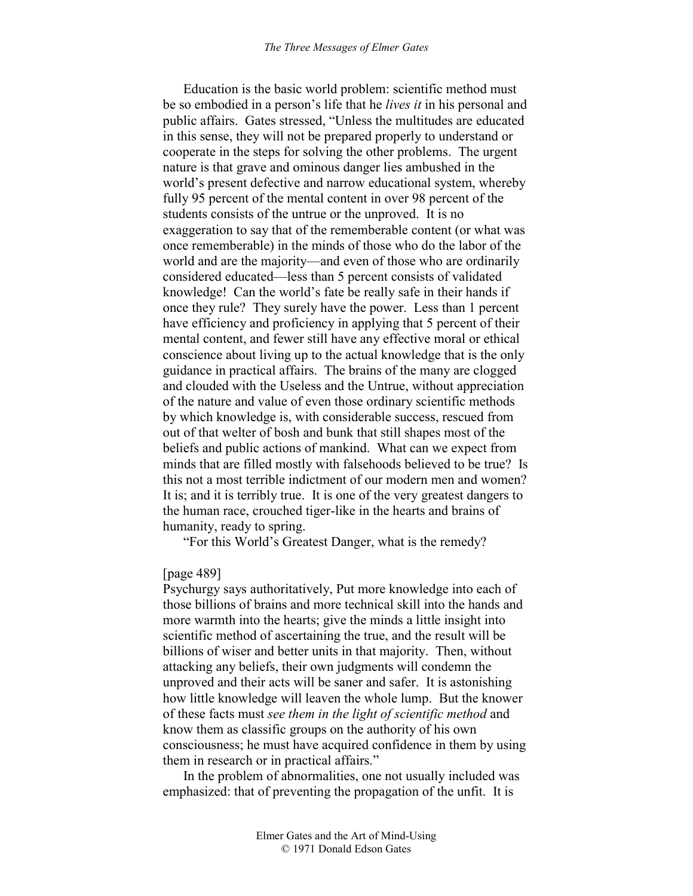Education is the basic world problem: scientific method must be so embodied in a person's life that he *lives it* in his personal and public affairs. Gates stressed, "Unless the multitudes are educated in this sense, they will not be prepared properly to understand or cooperate in the steps for solving the other problems. The urgent nature is that grave and ominous danger lies ambushed in the world's present defective and narrow educational system, whereby fully 95 percent of the mental content in over 98 percent of the students consists of the untrue or the unproved. It is no exaggeration to say that of the rememberable content (or what was once rememberable) in the minds of those who do the labor of the world and are the majority—and even of those who are ordinarily considered educated—less than 5 percent consists of validated knowledge! Can the world's fate be really safe in their hands if once they rule? They surely have the power. Less than 1 percent have efficiency and proficiency in applying that 5 percent of their mental content, and fewer still have any effective moral or ethical conscience about living up to the actual knowledge that is the only guidance in practical affairs. The brains of the many are clogged and clouded with the Useless and the Untrue, without appreciation of the nature and value of even those ordinary scientific methods by which knowledge is, with considerable success, rescued from out of that welter of bosh and bunk that still shapes most of the beliefs and public actions of mankind. What can we expect from minds that are filled mostly with falsehoods believed to be true? Is this not a most terrible indictment of our modern men and women? It is; and it is terribly true. It is one of the very greatest dangers to the human race, crouched tiger-like in the hearts and brains of humanity, ready to spring.

"For this World's Greatest Danger, what is the remedy?

#### [page 489]

Psychurgy says authoritatively, Put more knowledge into each of those billions of brains and more technical skill into the hands and more warmth into the hearts; give the minds a little insight into scientific method of ascertaining the true, and the result will be billions of wiser and better units in that majority. Then, without attacking any beliefs, their own judgments will condemn the unproved and their acts will be saner and safer. It is astonishing how little knowledge will leaven the whole lump. But the knower of these facts must *see them in the light of scientific method* and know them as classific groups on the authority of his own consciousness; he must have acquired confidence in them by using them in research or in practical affairs."

In the problem of abnormalities, one not usually included was emphasized: that of preventing the propagation of the unfit. It is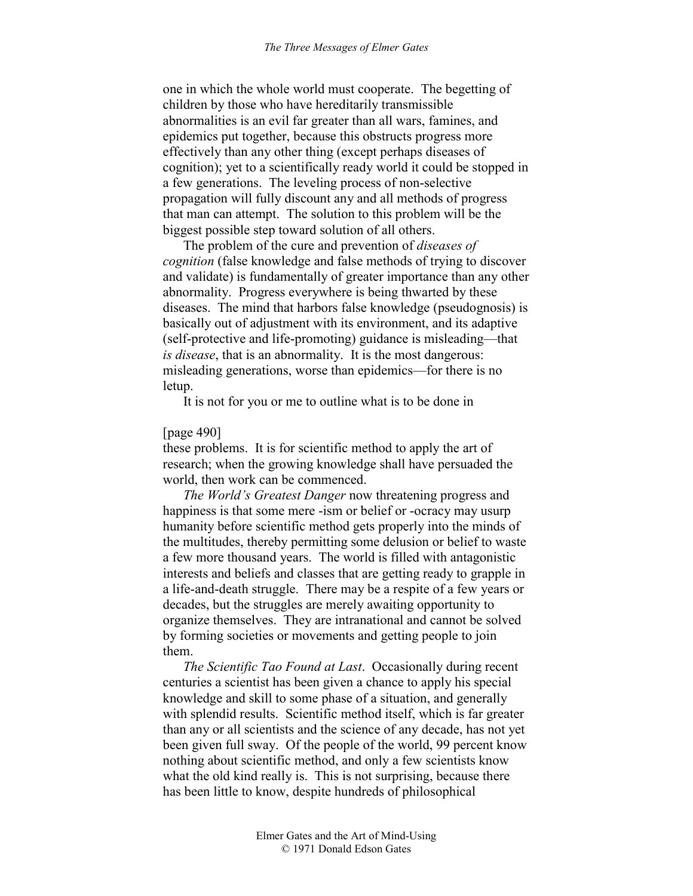one in which the whole world must cooperate. The begetting of children by those who have hereditarily transmissible abnormalities is an evil far greater than all wars, famines, and epidemics put together, because this obstructs progress more effectively than any other thing (except perhaps diseases of cognition); yet to a scientifically ready world it could be stopped in a few generations. The leveling process of non-selective propagation will fully discount any and all methods of progress that man can attempt. The solution to this problem will be the biggest possible step toward solution of all others.

The problem of the cure and prevention of *diseases of cognition* (false knowledge and false methods of trying to discover and validate) is fundamentally of greater importance than any other abnormality. Progress everywhere is being thwarted by these diseases. The mind that harbors false knowledge (pseudognosis) is basically out of adjustment with its environment, and its adaptive (self-protective and life-promoting) guidance is misleading—that *is disease*, that is an abnormality. It is the most dangerous: misleading generations, worse than epidemics—for there is no letup.

It is not for you or me to outline what is to be done in

#### [page 490]

these problems. It is for scientific method to apply the art of research; when the growing knowledge shall have persuaded the world, then work can be commenced.

*The World's Greatest Danger* now threatening progress and happiness is that some mere -ism or belief or -ocracy may usurp humanity before scientific method gets properly into the minds of the multitudes, thereby permitting some delusion or belief to waste a few more thousand years. The world is filled with antagonistic interests and beliefs and classes that are getting ready to grapple in a life-and-death struggle. There may be a respite of a few years or decades, but the struggles are merely awaiting opportunity to organize themselves. They are intranational and cannot be solved by forming societies or movements and getting people to join them.

*The Scientific Tao Found at Last*. Occasionally during recent centuries a scientist has been given a chance to apply his special knowledge and skill to some phase of a situation, and generally with splendid results. Scientific method itself, which is far greater than any or all scientists and the science of any decade, has not yet been given full sway. Of the people of the world, 99 percent know nothing about scientific method, and only a few scientists know what the old kind really is. This is not surprising, because there has been little to know, despite hundreds of philosophical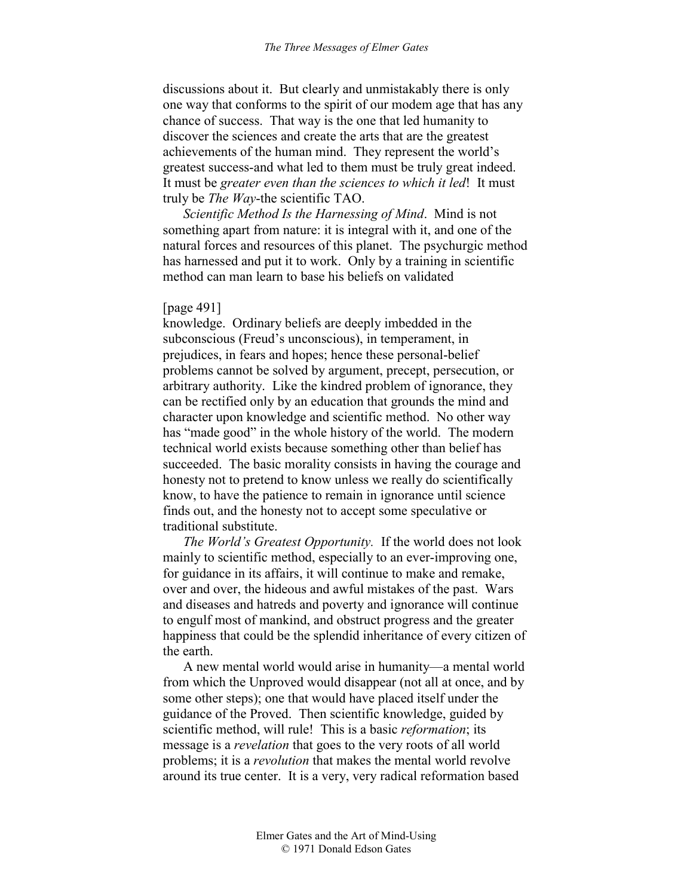discussions about it. But clearly and unmistakably there is only one way that conforms to the spirit of our modem age that has any chance of success. That way is the one that led humanity to discover the sciences and create the arts that are the greatest achievements of the human mind. They represent the world's greatest success-and what led to them must be truly great indeed. It must be *greater even than the sciences to which it led*! It must truly be *The Way*-the scientific TAO.

*Scientific Method Is the Harnessing of Mind*. Mind is not something apart from nature: it is integral with it, and one of the natural forces and resources of this planet. The psychurgic method has harnessed and put it to work. Only by a training in scientific method can man learn to base his beliefs on validated

#### [page 491]

knowledge. Ordinary beliefs are deeply imbedded in the subconscious (Freud's unconscious), in temperament, in prejudices, in fears and hopes; hence these personal-belief problems cannot be solved by argument, precept, persecution, or arbitrary authority. Like the kindred problem of ignorance, they can be rectified only by an education that grounds the mind and character upon knowledge and scientific method. No other way has "made good" in the whole history of the world. The modern technical world exists because something other than belief has succeeded. The basic morality consists in having the courage and honesty not to pretend to know unless we really do scientifically know, to have the patience to remain in ignorance until science finds out, and the honesty not to accept some speculative or traditional substitute.

*The World's Greatest Opportunity.* If the world does not look mainly to scientific method, especially to an ever-improving one, for guidance in its affairs, it will continue to make and remake, over and over, the hideous and awful mistakes of the past. Wars and diseases and hatreds and poverty and ignorance will continue to engulf most of mankind, and obstruct progress and the greater happiness that could be the splendid inheritance of every citizen of the earth.

A new mental world would arise in humanity—a mental world from which the Unproved would disappear (not all at once, and by some other steps); one that would have placed itself under the guidance of the Proved. Then scientific knowledge, guided by scientific method, will rule! This is a basic *reformation*; its message is a *revelation* that goes to the very roots of all world problems; it is a *revolution* that makes the mental world revolve around its true center. It is a very, very radical reformation based